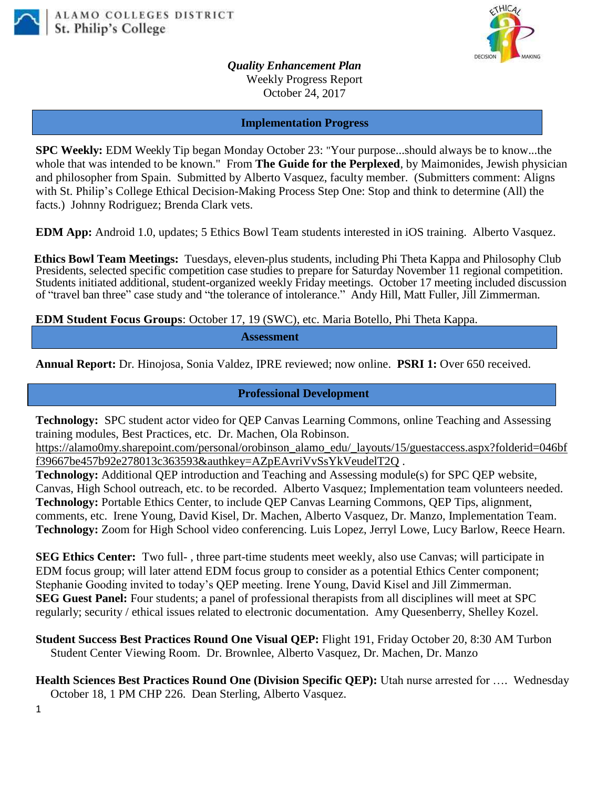



*Quality Enhancement Plan* Weekly Progress Report October 24, 2017

#### **Implementation Progress**

**SPC Weekly:** EDM Weekly Tip began Monday October 23: "Your purpose...should always be to know...the whole that was intended to be known." From **The Guide for the Perplexed**, by Maimonides, Jewish physician and philosopher from Spain. Submitted by Alberto Vasquez, faculty member. (Submitters comment: Aligns with St. Philip's College Ethical Decision-Making Process Step One: Stop and think to determine (All) the facts.) Johnny Rodriguez; Brenda Clark vets.

**EDM App:** Android 1.0, updates; 5 Ethics Bowl Team students interested in iOS training. Alberto Vasquez.

**Ethics Bowl Team Meetings:** Tuesdays, eleven-plus students, including Phi Theta Kappa and Philosophy Club Presidents, selected specific competition case studies to prepare for Saturday November 11 regional competition. Students initiated additional, student-organized weekly Friday meetings. October 17 meeting included discussion of "travel ban three" case study and "the tolerance of intolerance." Andy Hill, Matt Fuller, Jill Zimmerman.

**EDM Student Focus Groups**: October 17, 19 (SWC), etc. Maria Botello, Phi Theta Kappa.

**Assessment**

**Annual Report:** Dr. Hinojosa, Sonia Valdez, IPRE reviewed; now online. **PSRI 1:** Over 650 received.

### **Professional Development**

**Technology:** SPC student actor video for QEP Canvas Learning Commons, online Teaching and Assessing training modules, Best Practices, etc. Dr. Machen, Ola Robinson.

[https://alamo0my.sharepoint.com/personal/orobinson\\_alamo\\_edu/\\_layouts/15/guestaccess.aspx?folderid=046bf](https://alamo0my.sharepoint.com/personal/orobinson_alamo_edu/_layouts/15/guestaccess.aspx?folderid=046bff39667be457b92e278013c363593&authkey=AZpEAvriVvSsYkVeudelT2Q) [f39667be457b92e278013c363593&authkey=AZpEAvriVvSsYkVeudelT2Q](https://alamo0my.sharepoint.com/personal/orobinson_alamo_edu/_layouts/15/guestaccess.aspx?folderid=046bff39667be457b92e278013c363593&authkey=AZpEAvriVvSsYkVeudelT2Q) .

**Technology:** Additional QEP introduction and Teaching and Assessing module(s) for SPC QEP website, Canvas, High School outreach, etc. to be recorded. Alberto Vasquez; Implementation team volunteers needed. **Technology:** Portable Ethics Center, to include QEP Canvas Learning Commons, QEP Tips, alignment, comments, etc. Irene Young, David Kisel, Dr. Machen, Alberto Vasquez, Dr. Manzo, Implementation Team. **Technology:** Zoom for High School video conferencing. Luis Lopez, Jerryl Lowe, Lucy Barlow, Reece Hearn.

**SEG Ethics Center:** Two full- , three part-time students meet weekly, also use Canvas; will participate in EDM focus group; will later attend EDM focus group to consider as a potential Ethics Center component; Stephanie Gooding invited to today's QEP meeting. Irene Young, David Kisel and Jill Zimmerman. **SEG Guest Panel:** Four students; a panel of professional therapists from all disciplines will meet at SPC regularly; security / ethical issues related to electronic documentation. Amy Quesenberry, Shelley Kozel.

**Student Success Best Practices Round One Visual QEP:** Flight 191, Friday October 20, 8:30 AM Turbon Student Center Viewing Room. Dr. Brownlee, Alberto Vasquez, Dr. Machen, Dr. Manzo

**Health Sciences Best Practices Round One (Division Specific QEP):** Utah nurse arrested for ….Wednesday October 18, 1 PM CHP 226. Dean Sterling, Alberto Vasquez.

1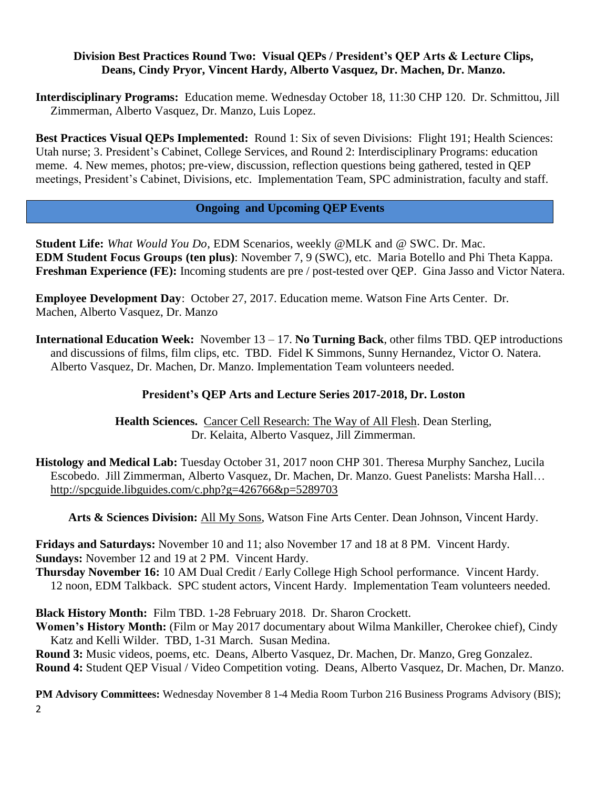## **Division Best Practices Round Two: Visual QEPs / President's QEP Arts & Lecture Clips, Deans, Cindy Pryor, Vincent Hardy, Alberto Vasquez, Dr. Machen, Dr. Manzo.**

**Interdisciplinary Programs:** Education meme. Wednesday October 18, 11:30 CHP 120. Dr. Schmittou, Jill Zimmerman, Alberto Vasquez, Dr. Manzo, Luis Lopez.

**Best Practices Visual QEPs Implemented:** Round 1: Six of seven Divisions: Flight 191; Health Sciences: Utah nurse; 3. President's Cabinet, College Services, and Round 2: Interdisciplinary Programs: education meme. 4. New memes, photos; pre-view, discussion, reflection questions being gathered, tested in QEP meetings, President's Cabinet, Divisions, etc. Implementation Team, SPC administration, faculty and staff.

## **Ongoing and Upcoming QEP Events**

**Student Life:** *What Would You Do*, EDM Scenarios, weekly @MLK and @ SWC. Dr. Mac. **EDM Student Focus Groups (ten plus)**: November 7, 9 (SWC), etc. Maria Botello and Phi Theta Kappa. **Freshman Experience (FE):** Incoming students are pre / post-tested over QEP. Gina Jasso and Victor Natera.

**Employee Development Day**: October 27, 2017. Education meme. Watson Fine Arts Center. Dr. Machen, Alberto Vasquez, Dr. Manzo

**International Education Week:** November 13 – 17. **No Turning Back**, other films TBD. QEP introductions and discussions of films, film clips, etc. TBD. Fidel K Simmons, Sunny Hernandez, Victor O. Natera. Alberto Vasquez, Dr. Machen, Dr. Manzo. Implementation Team volunteers needed.

# **President's QEP Arts and Lecture Series 2017-2018, Dr. Loston**

**Health Sciences.** Cancer Cell Research: The Way of All Flesh. Dean Sterling, Dr. Kelaita, Alberto Vasquez, Jill Zimmerman.

**Histology and Medical Lab:** Tuesday October 31, 2017 noon CHP 301. Theresa Murphy Sanchez, Lucila Escobedo. Jill Zimmerman, Alberto Vasquez, Dr. Machen, Dr. Manzo. Guest Panelists: Marsha Hall… [http://spcguide.libguides.com/c.php?g=426766&p=5289703](https://mail.alamo.edu/owa/redir.aspx?C=O6iqIsLSuf3ovY1b3KnDXbqIbPdR_pjdMUVY5pKWykLtsQQH7BTVCA..&URL=http%3a%2f%2fspcguide.libguides.com%2fc.php%3fg%3d426766%26p%3d5289703)

**Arts & Sciences Division:** All My Sons, Watson Fine Arts Center. Dean Johnson, Vincent Hardy.

**Fridays and Saturdays:** November 10 and 11; also November 17 and 18 at 8 PM. Vincent Hardy. **Sundays:** November 12 and 19 at 2 PM. Vincent Hardy.

**Thursday November 16:** 10 AM Dual Credit / Early College High School performance. Vincent Hardy. 12 noon, EDM Talkback. SPC student actors, Vincent Hardy. Implementation Team volunteers needed.

**Black History Month:** Film TBD. 1-28 February 2018. Dr. Sharon Crockett.

**Women's History Month:** (Film or May 2017 documentary about Wilma Mankiller, Cherokee chief), Cindy Katz and Kelli Wilder. TBD, 1-31 March. Susan Medina.

**Round 3:** Music videos, poems, etc. Deans, Alberto Vasquez, Dr. Machen, Dr. Manzo, Greg Gonzalez. **Round 4:** Student QEP Visual / Video Competition voting. Deans, Alberto Vasquez, Dr. Machen, Dr. Manzo.

2 **PM Advisory Committees:** Wednesday November 8 1-4 Media Room Turbon 216 Business Programs Advisory (BIS);